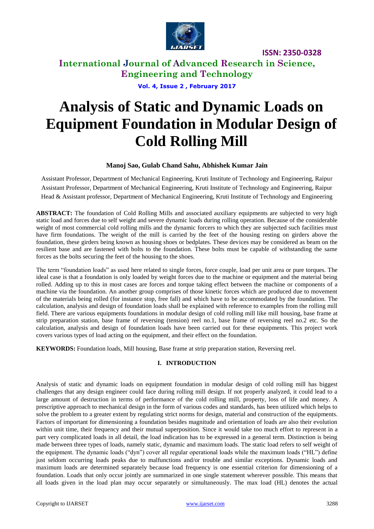

**International Journal of Advanced Research in Science, Engineering and Technology**

**Vol. 4, Issue 2 , February 2017**

# **Analysis of Static and Dynamic Loads on Equipment Foundation in Modular Design of Cold Rolling Mill**

### **Manoj Sao, Gulab Chand Sahu, Abhishek Kumar Jain**

Assistant Professor, Department of Mechanical Engineering, Kruti Institute of Technology and Engineering, Raipur Assistant Professor, Department of Mechanical Engineering, Kruti Institute of Technology and Engineering, Raipur Head & Assistant professor, Department of Mechanical Engineering, Kruti Institute of Technology and Engineering

**ABSTRACT:** The foundation of Cold Rolling Mills and associated auxiliary equipments are subjected to very high static load and forces due to self weight and severe dynamic loads during rolling operation. Because of the considerable weight of most commercial cold rolling mills and the dynamic forcers to which they are subjected such facilities must have firm foundations. The weight of the mill is carried by the feet of the housing resting on girders above the foundation, these girders being known as housing shoes or bedplates. These devices may be considered as beam on the resilient base and are fastened with bolts to the foundation. These bolts must be capable of withstanding the same forces as the bolts securing the feet of the housing to the shoes.

The term "foundation loads" as used here related to single forces, force couple, load per unit area or pure torques. The ideal case is that a foundation is only loaded by weight forces due to the machine or equipment and the material being rolled. Adding up to this in most cases are forces and torque taking effect between the machine or components of a machine via the foundation. An another group comprises of those kinetic forces which are produced due to movement of the materials being rolled (for instance stop, free fall) and which have to be accommodated by the foundation. The calculation, analysis and design of foundation loads shall be explained with reference to examples from the rolling mill field. There are various equipments foundations in modular design of cold rolling mill like mill housing, base frame at strip preparation station, base frame of reversing (tension) reel no.1, base frame of reversing reel no.2 etc. So the calculation, analysis and design of foundation loads have been carried out for these equipments. This project work covers various types of load acting on the equipment, and their effect on the foundation.

**KEYWORDS:** Foundation loads, Mill housing, Base frame at strip preparation station, Reversing reel.

### **I. INTRODUCTION**

Analysis of static and dynamic loads on equipment foundation in modular design of cold rolling mill has biggest challenges that any design engineer could face during rolling mill design. If not properly analyzed, it could lead to a large amount of destruction in terms of performance of the cold rolling mill, property, loss of life and money. A prescriptive approach to mechanical design in the form of various codes and standards, has been utilized which helps to solve the problem to a greater extent by regulating strict norms for design, material and construction of the equipments. Factors of important for dimensioning a foundation besides magnitude and orientation of loads are also their evolution within unit time, their frequency and their mutual superposition. Since it would take too much effort to represent in a part very complicated loads in all detail, the load indication has to be expressed in a general term. Distinction is being made between three types of loads, namely static, dynamic and maximum loads. The static load refers to self weight of the equipment. The dynamic loads ("dyn") cover all regular operational loads while the maximum loads ("HL") define just seldom occurring loads peaks due to malfunctions and/or trouble and similar exceptions. Dynamic loads and maximum loads are determined separately because load frequency is one essential criterion for dimensioning of a foundation. Loads that only occur jointly are summarized in one single statement wherever possible. This means that all loads given in the load plan may occur separately or simultaneously. The max load (HL) denotes the actual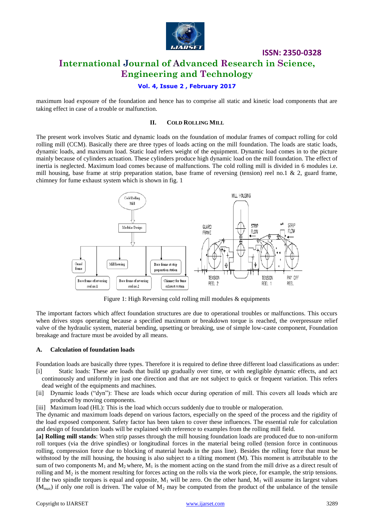

### **Vol. 4, Issue 2 , February 2017**

maximum load exposure of the foundation and hence has to comprise all static and kinetic load components that are taking effect in case of a trouble or malfunction.

#### **II. COLD ROLLING MILL**

The present work involves Static and dynamic loads on the foundation of modular frames of compact rolling for cold rolling mill (CCM). Basically there are three types of loads acting on the mill foundation. The loads are static loads, dynamic loads, and maximum load. Static load refers weight of the equipment. Dynamic load comes in to the picture mainly because of cylinders actuation. These cylinders produce high dynamic load on the mill foundation. The effect of inertia is neglected. Maximum load comes because of malfunctions. The cold rolling mill is divided in 6 modules i.e. mill housing, base frame at strip preparation station, base frame of reversing (tension) reel no.1  $\&$  2, guard frame, chimney for fume exhaust system which is shown in fig. 1



Figure 1: High Reversing cold rolling mill modules & equipments

The important factors which affect foundation structures are due to operational troubles or malfunctions. This occurs when drives stops operating because a specified maximum or breakdown torque is reached, the overpressure relief valve of the hydraulic system, material bending, upsetting or breaking, use of simple low-caste component, Foundation breakage and fracture must be avoided by all means.

#### **A. Calculation of foundation loads**

Foundation loads are basically three types. Therefore it is required to define three different load classifications as under:

- [i] Static loads: These are loads that build up gradually over time, or with negligible dynamic effects, and act continuously and uniformly in just one direction and that are not subject to quick or frequent variation. This refers dead weight of the equipments and machines.
- [ii] Dynamic loads ("dyn"): These are loads which occur during operation of mill. This covers all loads which are produced by moving components.
- [iii] Maximum load (HL): This is the load which occurs suddenly due to trouble or maloperation.

The dynamic and maximum loads depend on various factors, especially on the speed of the process and the rigidity of the load exposed component. Safety factor has been taken to cover these influences. The essential rule for calculation and design of foundation loads will be explained with reference to examples from the rolling mill field.

**[a] Rolling mill stands**: When strip passes through the mill housing foundation loads are produced due to non-uniform roll torques (via the drive spindles) or longitudinal forces in the material being rolled (tension force in continuous rolling, compression force due to blocking of material heads in the pass line). Besides the rolling force that must be withstood by the mill housing, the housing is also subject to a tilting moment (M). This moment is attributable to the sum of two components  $M_1$  and  $M_2$  where,  $M_1$  is the moment acting on the stand from the mill drive as a direct result of rolling and  $M<sub>2</sub>$  is the moment resulting for forces acting on the rolls via the work piece, for example, the strip tensions. If the two spindle torques is equal and opposite,  $M_1$  will be zero. On the other hand,  $M_1$  will assume its largest values  $(M_{\text{max}})$  if only one roll is driven. The value of  $M_2$  may be computed from the product of the unbalance of the tensile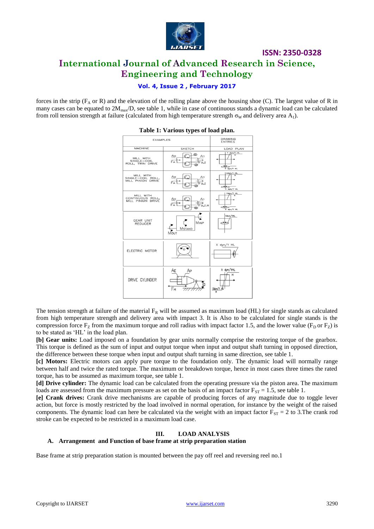

### **Vol. 4, Issue 2 , February 2017**

forces in the strip ( $F_A$  or R) and the elevation of the rolling plane above the housing shoe (C). The largest value of R in many cases can be equated to  $2M_{\text{max}}/D$ , see table 1, while in case of continuous stands a dynamic load can be calculated from roll tension strength at failure (calculated from high temperature strength  $\sigma_w$  and delivery area A<sub>1</sub>).



#### **Table 1: Various types of load plan.**

The tension strength at failure of the material  $F_R$  will be assumed as maximum load (HL) for single stands as calculated from high temperature strength and delivery area with impact 3. It is Also to be calculated for single stands is the compression force  $F_Z$  from the maximum torque and roll radius with impact factor 1.5, and the lower value ( $F_D$  or  $F_Z$ ) is to be stated as 'HL' in the load plan.

**[b] Gear units:** Load imposed on a foundation by gear units normally comprise the restoring torque of the gearbox. This torque is defined as the sum of input and output torque when input and output shaft turning in opposed direction, the difference between these torque when input and output shaft turning in same direction, see table 1.

**[c] Motors:** Electric motors can apply pure torque to the foundation only. The dynamic load will normally range between half and twice the rated torque. The maximum or breakdown torque, hence in most cases three times the rated torque, has to be assumed as maximum torque, see table 1.

**[d] Drive cylinder:** The dynamic load can be calculated from the operating pressure via the piston area. The maximum loads are assessed from the maximum pressure as set on the basis of an impact factor  $F_{ST} = 1.5$ , see table 1.

**[e] Crank drives:** Crank drive mechanisms are capable of producing forces of any magnitude due to toggle lever action, but force is mostly restricted by the load involved in normal operation, for instance by the weight of the raised components. The dynamic load can here be calculated via the weight with an impact factor  $F_{ST} = 2$  to 3.The crank rod stroke can be expected to be restricted in a maximum load case.

#### **III. LOAD ANALYSIS**

#### **A. Arrangement and Function of base frame at strip preparation station**

Base frame at strip preparation station is mounted between the pay off reel and reversing reel no.1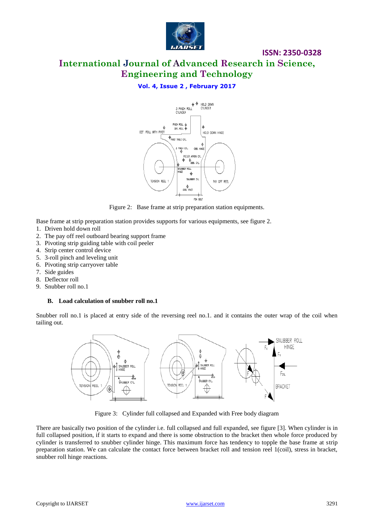

**International Journal of Advanced Research in Science, Engineering and Technology**

## **Vol. 4, Issue 2 , February 2017**



Figure 2: Base frame at strip preparation station equipments.

Base frame at strip preparation station provides supports for various equipments, see figure 2. 1. Driven hold down roll

- 2. The pay off reel outboard bearing support frame
- 3. Pivoting strip guiding table with coil peeler
- 4. Strip center control device
- 5. 3-roll pinch and leveling unit
- 6. Pivoting strip carryover table
- 7. Side guides
- 8. Deflector roll
- 9. Snubber roll no.1

#### **B. Load calculation of snubber roll no.1**

Snubber roll no.1 is placed at entry side of the reversing reel no.1. and it contains the outer wrap of the coil when tailing out.



Figure 3: Cylinder full collapsed and Expanded with Free body diagram

There are basically two position of the cylinder i.e. full collapsed and full expanded, see figure [3]. When cylinder is in full collapsed position, if it starts to expand and there is some obstruction to the bracket then whole force produced by cylinder is transferred to snubber cylinder hinge. This maximum force has tendency to topple the base frame at strip preparation station. We can calculate the contact force between bracket roll and tension reel 1(coil), stress in bracket, snubber roll hinge reactions.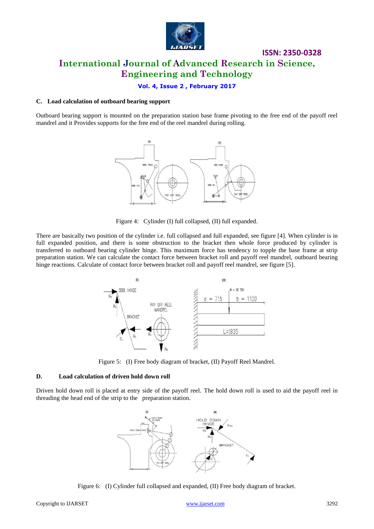

#### **Vol. 4, Issue 2 , February 2017**

#### **C. Load calculation of outboard bearing support**

Outboard bearing support is mounted on the preparation station base frame pivoting to the free end of the payoff reel mandrel and it Provides supports for the free end of the reel mandrel during rolling.



Figure 4: Cylinder (I) full collapsed, (II) full expanded.

There are basically two position of the cylinder i.e. full collapsed and full expanded, see figure [4]. When cylinder is in full expanded position, and there is some obstruction to the bracket then whole force produced by cylinder is transferred to outboard bearing cylinder hinge. This maximum force has tendency to topple the base frame at strip preparation station. We can calculate the contact force between bracket roll and payoff reel mandrel, outboard bearing hinge reactions. Calculate of contact force between bracket roll and payoff reel mandrel, see figure [5].



Figure 5: (I) Free body diagram of bracket, (II) Payoff Reel Mandrel.

#### **D. Load calculation of driven hold down roll**

Driven hold down roll is placed at entry side of the payoff reel. The hold down roll is used to aid the payoff reel in threading the head end of the strip to the preparation station.



Figure 6: (I) Cylinder full collapsed and expanded, (II) Free body diagram of bracket.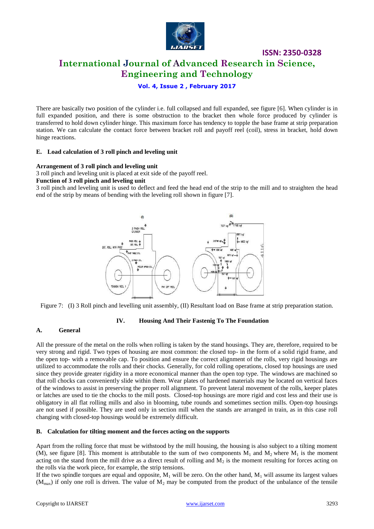

**ISSN: 2350-0328 International Journal of Advanced Research in Science,** 

**Engineering and Technology**

**Vol. 4, Issue 2 , February 2017**

There are basically two position of the cylinder i.e. full collapsed and full expanded, see figure [6]. When cylinder is in full expanded position, and there is some obstruction to the bracket then whole force produced by cylinder is transferred to hold down cylinder hinge. This maximum force has tendency to topple the base frame at strip preparation station. We can calculate the contact force between bracket roll and payoff reel (coil), stress in bracket, hold down hinge reactions.

#### **E. Load calculation of 3 roll pinch and leveling unit**

#### **Arrangement of 3 roll pinch and leveling unit**

3 roll pinch and leveling unit is placed at exit side of the payoff reel.

#### **Function of 3 roll pinch and leveling unit**

3 roll pinch and leveling unit is used to deflect and feed the head end of the strip to the mill and to straighten the head end of the strip by means of bending with the leveling roll shown in figure [7].



Figure 7: (I) 3 Roll pinch and levelling unit assembly, (II) Resultant load on Base frame at strip preparation station.

### **IV. Housing And Their Fastenig To The Foundation**

#### **A. General**

All the pressure of the metal on the rolls when rolling is taken by the stand housings. They are, therefore, required to be very strong and rigid. Two types of housing are most common: the closed top- in the form of a solid rigid frame, and the open top- with a removable cap. To position and ensure the correct alignment of the rolls, very rigid housings are utilized to accommodate the rolls and their chocks. Generally, for cold rolling operations, closed top housings are used since they provide greater rigidity in a more economical manner than the open top type. The windows are machined so that roll chocks can conveniently slide within them. Wear plates of hardened materials may be located on vertical faces of the windows to assist in preserving the proper roll alignment. To prevent lateral movement of the rolls, keeper plates or latches are used to tie the chocks to the mill posts. Closed-top housings are more rigid and cost less and their use is obligatory in all flat rolling mills and also in blooming, tube rounds and sometimes section mills. Open-top housings are not used if possible. They are used only in section mill when the stands are arranged in train, as in this case roll changing with closed-top housings would be extremely difficult.

#### **B. Calculation for tilting moment and the forces acting on the supports**

Apart from the rolling force that must be withstood by the mill housing, the housing is also subject to a tilting moment (M), see figure [8]. This moment is attributable to the sum of two components  $M_1$  and  $M_2$  where  $M_1$  is the moment acting on the stand from the mill drive as a direct result of rolling and  $M<sub>2</sub>$  is the moment resulting for forces acting on the rolls via the work piece, for example, the strip tensions.

If the two spindle torques are equal and opposite,  $M_1$  will be zero. On the other hand,  $M_1$  will assume its largest values  $(M_{\text{max}})$  if only one roll is driven. The value of  $M_2$  may be computed from the product of the unbalance of the tensile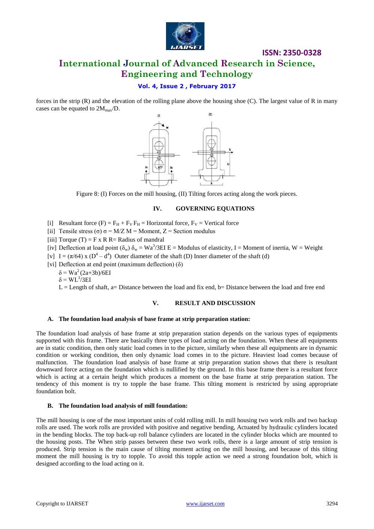

# **International Journal of Advanced Research in Science, Engineering and Technology**

### **Vol. 4, Issue 2 , February 2017**

forces in the strip (R) and the elevation of the rolling plane above the housing shoe (C). The largest value of R in many cases can be equated to  $2M_{\text{max}}/D$ .



Figure 8: (I) Forces on the mill housing, (II) Tilting forces acting along the work pieces.

#### **IV. GOVERNING EQUATIONS**

- [i] Resultant force  $(F) = F_H + F_V F_H =$  Horizontal force,  $F_V =$  Vertical force
- [ii] Tensile stress (σ)  $\sigma = M/Z$  M = Moment, Z = Section modulus
- [iii] Torque  $(T) = F x R R =$  Radius of mandral
- [iv] Deflection at load point  $(\delta_w) \delta_w = Wa^3/3EI E =$  Modulus of elasticity, I = Moment of inertia, W = Weight
- [v]  $I = (\pi/64) \times (D^4 d^4)$  Outer diameter of the shaft (D) Inner diameter of the shaft (d)
- [vi] Deflection at end point (maximum deflection) (δ)
	- $δ = Wa<sup>2</sup>(2a+3b)/6EI$

 $\delta = WL^3/3EI$ 

 $L =$  Length of shaft, a= Distance between the load and fix end, b= Distance between the load and free end

#### **V. RESULT AND DISCUSSION**

#### **A. The foundation load analysis of base frame at strip preparation station:**

The foundation load analysis of base frame at strip preparation station depends on the various types of equipments supported with this frame. There are basically three types of load acting on the foundation. When these all equipments are in static condition, then only static load comes in to the picture, similarly when these all equipments are in dynamic condition or working condition, then only dynamic load comes in to the picture. Heaviest load comes because of malfunction. The foundation load analysis of base frame at strip preparation station shows that there is resultant downward force acting on the foundation which is nullified by the ground. In this base frame there is a resultant force which is acting at a certain height which produces a moment on the base frame at strip preparation station. The tendency of this moment is try to topple the base frame. This tilting moment is restricted by using appropriate foundation bolt.

#### **B. The foundation load analysis of mill foundation:**

The mill housing is one of the most important units of cold rolling mill. In mill housing two work rolls and two backup rolls are used. The work rolls are provided with positive and negative bending, Actuated by hydraulic cylinders located in the bending blocks. The top back-up roll balance cylinders are located in the cylinder blocks which are mounted to the housing posts. The When strip passes between these two work rolls, there is a large amount of strip tension is produced. Strip tension is the main cause of tilting moment acting on the mill housing, and because of this tilting moment the mill housing is try to topple. To avoid this topple action we need a strong foundation bolt, which is designed according to the load acting on it.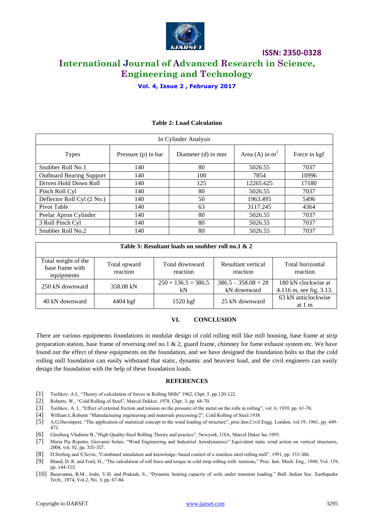

**Vol. 4, Issue 2 , February 2017**

| In Cylinder Analysis            |                       |                    |                  |              |  |  |
|---------------------------------|-----------------------|--------------------|------------------|--------------|--|--|
| <b>Types</b>                    | Pressure $(p)$ in bar | Diameter (d) in mm | Area (A) in $m2$ | Force in kgf |  |  |
| Snubber Roll No.1               | 140                   | 80                 | 5026.55          | 7037         |  |  |
| <b>Outboard Bearing Support</b> | 140                   | 100                | 7854             | 10996        |  |  |
| Driven Hold Down Roll           | 140                   | 125                | 12265.625        | 17180        |  |  |
| Pinch Roll Cyl                  | 140                   | 80                 | 5026.55          | 7037         |  |  |
| Deflector Roll Cyl (2 No.)      | 140                   | 50                 | 1963.495         | 5496         |  |  |
| Pivot Table                     | 140                   | 63                 | 3117.245         | 4364         |  |  |
| Peelar Apron Cylinder           | 140                   | 80                 | 5026.55          | 7037         |  |  |
| 3 Roll Pinch Cyl                | 140                   | 80                 | 5026.55          | 7037         |  |  |
| Snubber Roll No.2               | 140                   | 80                 | 5026.55          | 7037         |  |  |

#### **Table 2: Load Calculation**

| Table 3: Resultant loads on snubber roll no.1 & 2    |                          |                             |                                      |                                                |  |  |  |
|------------------------------------------------------|--------------------------|-----------------------------|--------------------------------------|------------------------------------------------|--|--|--|
| Total weight of the<br>base frame with<br>equipments | Total upward<br>reaction | Total downward<br>reaction  | Resultant vertical<br>reaction       | Total horizontal<br>reaction                   |  |  |  |
| 250 kN downward                                      | 358.08 kN                | $250 + 136.5 = 386.5$<br>kN | $386.5 - 358.08 = 28$<br>kN downward | 180 kN clockwise at<br>4.116 m, see fig. 3.13. |  |  |  |
| 40 kN downward                                       | 4404 kgf                 | 1520 kgf                    | 25 kN downward                       | 63 kN anticlockwise<br>at 1 m                  |  |  |  |

#### **VI. CONCLUSION**

There are various equipments foundations in modular design of cold rolling mill like mill housing, base frame at strip preparation station, base frame of reversing reel no.1 & 2, guard frame, chimney for fume exhaust system etc. We have found out the effect of these equipments on the foundation, and we have designed the foundation bolts so that the cold rolling mill foundation can easily withstand that static, dynamic and heaviest load, and the civil engineers can easily design the foundation with the help of these foundation loads.

#### **REFERENCES**

- [1] Tselikov, A.I., "Theory of calculation of forces in Rolling Mills" 1962, Chpt. 5, pp.120-122.
- [2] Roberts, W., "Cold Rolling of Steel", Marcel Dekker, 1978, Chpt. 3, pp. 68-70.
- [3] Tselikov, A. I., "Effect of external friction and tension on the pressure of the metal on the rolls in rolling", vol. 6, 1939, pp. 61-76.
- [4] William L.Roberts "Manufacturing engineering and materials processing/2", Cold Rolling of Steel.1938.
- [5] A.G.Davenport, "The application of statistical concept to the wind loading of structure", proc.Inst.Civil Engg. London, vol.19, 1961, pp. 449- 472.
- [6] Ginzburg Vladimir B.,"High-Quality Steel Rolling Theory and practice", Newyork, USA, Marcel Deker Inc.1993.
- [7] Maria Pia Repetto, Giovanni Solari, "Wind Engineering and Industrial Aerodynamics" Equivalent static wind action on vertical structures, 2004, vol. 92, pp. 335-357.
- [8] D.Stirling and S.Sevin, "Combined simulation and knowledge- based control of a stainless steel rolling mill", 1991, pp. 353-366.
- [9] Bland, D. R. and Ford, H., "The calculation of roll force and torque in cold strip rolling with tensions," Proc. Inst. Mech. Eng., 1948, Vol. 159, pp. 144-153.
- [10] Basavanna, B.M., Joshi, V.H. and Prakash, S., "Dynamic bearing capacity of soils under transient loading." Bull. Indian Soc. Earthquake Tech., 1974, Vol.2, No. 3, pp. 67-84.